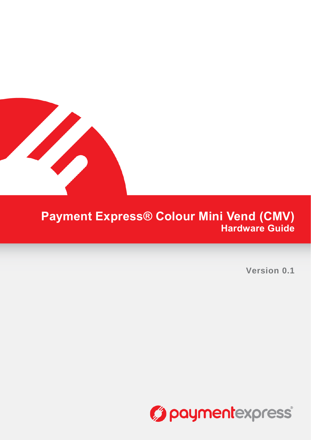

# **Payment Express® Colour Mini Vend (CMV) Hardware Guide**

**Version 0.1**

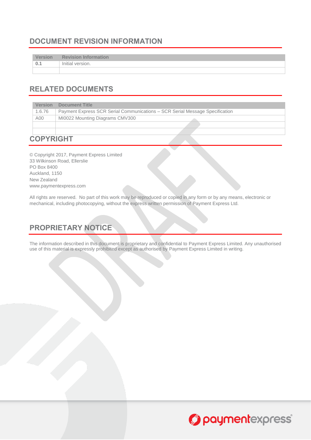# <span id="page-1-0"></span>**DOCUMENT REVISION INFORMATION**

| <b>Version</b> | <b>Revision Information</b> |
|----------------|-----------------------------|
| $\pm 0.1$      | Initial version.            |
|                |                             |

# <span id="page-1-1"></span>**RELATED DOCUMENTS**

| <b>Version</b> | Document Title                                                               |  |  |
|----------------|------------------------------------------------------------------------------|--|--|
| 1.6.76         | Payment Express SCR Serial Communications - SCR Serial Message Specification |  |  |
| A00            | MI0022 Mounting Diagrams CMV300                                              |  |  |
|                |                                                                              |  |  |

# <span id="page-1-2"></span>**COPYRIGHT**

© Copyright 2017, Payment Express Limited 33 Wilkinson Road, Ellerslie PO Box 8400 Auckland, 1150 New Zealand [www.paymentexpress.com](http://www.paymentexpress.com/)

All rights are reserved. No part of this work may be reproduced or copied in any form or by any means, electronic or mechanical, including photocopying, without the express written permission of Payment Express Ltd.

# <span id="page-1-3"></span>**PROPRIETARY NOTICE**

The information described in this document is proprietary and confidential to Payment Express Limited. Any unauthorised use of this material is expressly prohibited except as authorised by Payment Express Limited in writing.

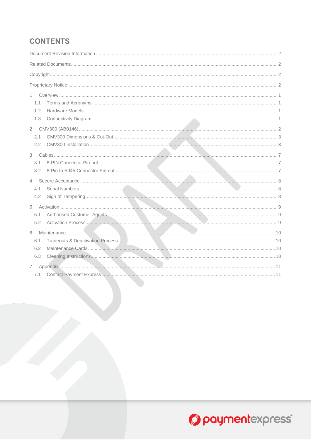# **CONTENTS**

| 1           |  |  |  |
|-------------|--|--|--|
| 1.1         |  |  |  |
| 1.2         |  |  |  |
| 1.3         |  |  |  |
|             |  |  |  |
| 2.1         |  |  |  |
| 2.2         |  |  |  |
|             |  |  |  |
| 3.1         |  |  |  |
| 3.2         |  |  |  |
|             |  |  |  |
| $4 -$       |  |  |  |
| 4.1         |  |  |  |
| 4.2         |  |  |  |
| 5           |  |  |  |
| 5.1         |  |  |  |
| 5.2         |  |  |  |
| 6           |  |  |  |
| 6.1         |  |  |  |
| 6.2         |  |  |  |
| 6.3         |  |  |  |
| $7^{\circ}$ |  |  |  |
| 7.1         |  |  |  |
|             |  |  |  |

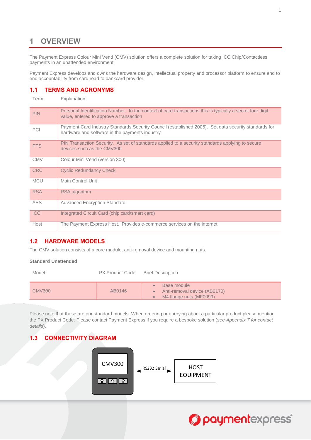# <span id="page-3-0"></span>**1 OVERVIEW**

The Payment Express Colour Mini Vend (CMV) solution offers a complete solution for taking ICC Chip/Contactless payments in an unattended environment.

Payment Express develops and owns the hardware design, intellectual property and processor platform to ensure end to end accountability from card read to bankcard provider.

#### <span id="page-3-1"></span>**1.1 TERMS AND ACRONYMS**

Term Explanation

| <b>PIN</b> | Personal Identification Number. In the context of card transactions this is typically a secret four digit<br>value, entered to approve a transaction   |
|------------|--------------------------------------------------------------------------------------------------------------------------------------------------------|
| PCI        | Payment Card Industry Standards Security Council (established 2006). Set data security standards for<br>hardware and software in the payments industry |
| <b>PTS</b> | PIN Transaction Security. As set of standards applied to a security standards applying to secure<br>devices such as the CMV300                         |
| <b>CMV</b> | Colour Mini Vend (version 300)                                                                                                                         |
| <b>CRC</b> | <b>Cyclic Redundancy Check</b>                                                                                                                         |
| <b>MCU</b> | Main Control Unit                                                                                                                                      |
| <b>RSA</b> | <b>RSA</b> algorithm                                                                                                                                   |
| <b>AES</b> | <b>Advanced Encryption Standard</b>                                                                                                                    |
| <b>ICC</b> | Integrated Circuit Card (chip card/smart card)                                                                                                         |
| Host       | The Payment Express Host. Provides e-commerce services on the internet                                                                                 |

#### <span id="page-3-2"></span>**1.2 HARDWARE MODELS**

The CMV solution consists of a core module, anti-removal device and mounting nuts.

#### **Standard Unattended**

Model PX Product Code Brief Description CMV300 AB0146 • Base module Anti-removal device (AB0170) M4 flange nuts (MF0099)

Please note that these are our standard models. When ordering or querying about a particular product please mention the PX Product Code. Please contact Payment Express if you require a bespoke solution (*see Appendix [7](#page-13-0) for contact details*).

#### <span id="page-3-3"></span>**1.3 CONNECTIVITY DIAGRAM**



# Opaymentexpress®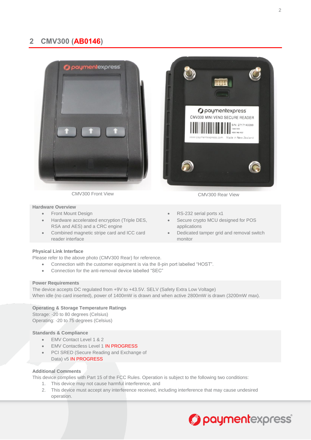# <span id="page-4-0"></span>**2 CMV300 (AB0146)**



CMV300 Front View CMV300 Rear View

#### **Hardware Overview**

- 
- Hardware accelerated encryption (Triple DES, RSA and AES) and a CRC engine
- Combined magnetic stripe card and ICC card reader interface

# *Opaymentexpress* CMV300 MINI VEND SECURE READER S/N: 2717140099 CMV300 B0146-A02 Made in New Zealand

- Front Mount Design **Community** RS-232 serial ports x1
	- Secure crypto MCU designed for POS applications
	- Dedicated tamper grid and removal switch monitor

#### **Physical Link Interface**

Please refer to the above photo (CMV300 Rear) for reference.

- Connection with the customer equipment is via the 8-pin port labelled "HOST".
- Connection for the anti-removal device labelled "SEC"

#### **Power Requirements**

The device accepts DC regulated from +9V to +43.5V. SELV (Safety Extra Low Voltage) When idle (no card inserted), power of 1400mW is drawn and when active 2800mW is drawn (3200mW max).

#### **Operating & Storage Temperature Ratings**

Storage: -20 to 80 degrees (Celsius) Operating: -20 to 75 degrees (Celsius)

#### **Standards & Compliance**

- EMV Contact Level 1 & 2
- EMV Contactless Level 1 IN PROGRESS
- PCI SRED (Secure Reading and Exchange of Data) v5 **IN PROGRESS**

#### **Additional Comments**

This device complies with Part 15 of the FCC Rules. Operation is subject to the following two conditions:

- 1. This device may not cause harmful interference, and
- 2. This device must accept any interference received, including interference that may cause undesired operation.

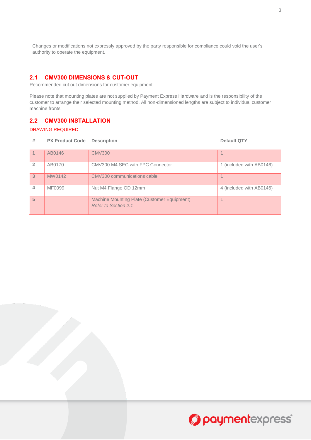Changes or modifications not expressly approved by the party responsible for compliance could void the user's authority to operate the equipment.

#### <span id="page-5-0"></span>**2.1 CMV300 DIMENSIONS & CUT-OUT**

Recommended cut out dimensions for customer equipment.

Please note that mounting plates are not supplied by Payment Express Hardware and is the responsibility of the customer to arrange their selected mounting method. All non-dimensioned lengths are subject to individual customer machine fronts.

#### <span id="page-5-1"></span>**2.2 CMV300 INSTALLATION**

#### DRAWING REQUIRED

| #              | <b>PX Product Code</b> Description |                                                                     | <b>Default QTY</b>       |
|----------------|------------------------------------|---------------------------------------------------------------------|--------------------------|
|                | AB0146                             | <b>CMV300</b>                                                       |                          |
| $\overline{2}$ | AB0170                             | CMV300 M4 SEC with FPC Connector                                    | 1 (included with AB0146) |
| $\overline{3}$ | MW0142                             | CMV300 communications cable                                         |                          |
| 4              | MF0099                             | Nut M4 Flange OD 12mm                                               | 4 (included with AB0146) |
| 5              |                                    | Machine Mounting Plate (Customer Equipment)<br>Refer to Section 2.1 |                          |



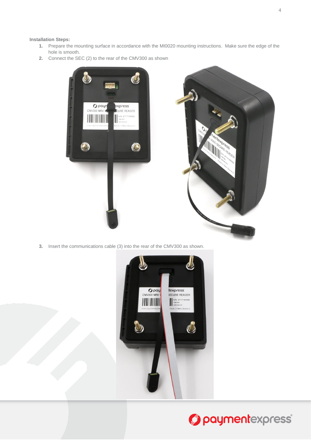#### **Installation Steps:**

- **1.** Prepare the mounting surface in accordance with the MI0020 mounting instructions. Make sure the edge of the hole is smooth.
- **2.** Connect the SEC (2) to the rear of the CMV300 as shown





**3.** Insert the communications cable (3) into the rear of the CMV300 as shown.



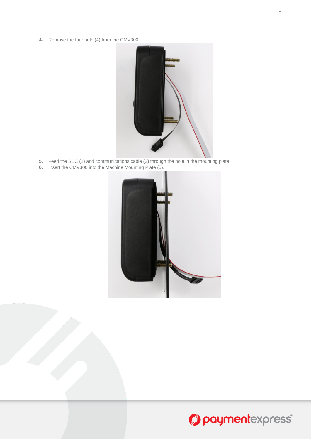**4.** Remove the four nuts (4) from the CMV300.



- **5.** Feed the SEC (2) and communications cable (3) through the hole in the mounting plate.
- **6.** Insert the CMV300 into the Machine Mounting Plate (5).



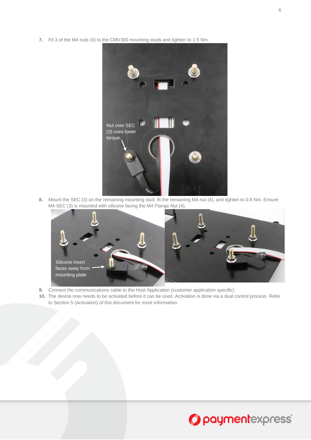**7.** Fit 3 of the M4 nuts (4) to the CMV300 mounting studs and tighten to 1.5 Nm.



**8.** Mount the SEC (3) on the remaining mounting stud, fit the remaining M4 nut (4), and tighten to 0.8 Nm. Ensure M4 SEC (3) is mounted with silicone facing the M4 Flange Nut (4).



- **9.** Connect the communications cable to the Host Application (customer application specific)
- **10.** The device now needs to be activated before it can be used. Activation is done via a dual control process. Refer to Section [5](#page-11-0) (Activation) of this document for more information.



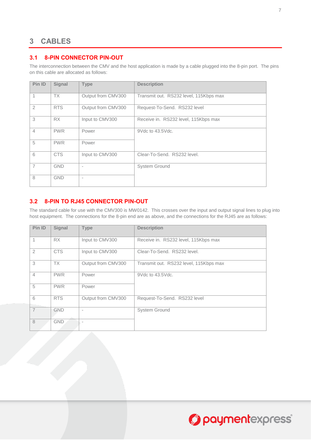# <span id="page-9-0"></span>**CABLES**

#### <span id="page-9-1"></span>**3.1 8-PIN CONNECTOR PIN-OUT**

The interconnection between the CMV and the host application is made by a cable plugged into the 8-pin port. The pins on this cable are allocated as follows:

| Pin ID         | Signal     | <b>Type</b>              | <b>Description</b>                     |
|----------------|------------|--------------------------|----------------------------------------|
|                | <b>TX</b>  | Output from CMV300       | Transmit out. RS232 level, 115Kbps max |
| $\overline{2}$ | <b>RTS</b> | Output from CMV300       | Request-To-Send. RS232 level           |
| 3              | RX         | Input to CMV300          | Receive in. RS232 level, 115Kbps max   |
| $\overline{4}$ | <b>PWR</b> | Power                    | 9Vdc to 43.5Vdc.                       |
| 5              | <b>PWR</b> | Power                    |                                        |
| 6              | <b>CTS</b> | Input to CMV300          | Clear-To-Send. RS232 level.            |
| $\overline{7}$ | <b>GND</b> | $\overline{\phantom{a}}$ | System Ground                          |
| 8              | <b>GND</b> | $\overline{\phantom{a}}$ |                                        |

#### <span id="page-9-2"></span>**3.2 8-PIN TO RJ45 CONNECTOR PIN-OUT**

The standard cable for use with the CMV300 is MW0142. This crosses over the input and output signal lines to plug into host equipment. The connections for the 8-pin end are as above, and the connections for the RJ45 are as follows:

| Pin ID         | <b>Signal</b> | <b>Type</b>        | <b>Description</b>                     |
|----------------|---------------|--------------------|----------------------------------------|
|                | RX            | Input to CMV300    | Receive in. RS232 level, 115Kbps max   |
| $\overline{2}$ | <b>CTS</b>    | Input to CMV300    | Clear-To-Send. RS232 level.            |
| 3              | <b>TX</b>     | Output from CMV300 | Transmit out. RS232 level, 115Kbps max |
| $\overline{4}$ | <b>PWR</b>    | Power              | 9Vdc to 43.5Vdc.                       |
| 5              | <b>PWR</b>    | Power              |                                        |
| 6              | <b>RTS</b>    | Output from CMV300 | Request-To-Send. RS232 level           |
| $\overline{7}$ | <b>GND</b>    | ٠                  | <b>System Ground</b>                   |
| 8              | <b>GND</b>    |                    |                                        |

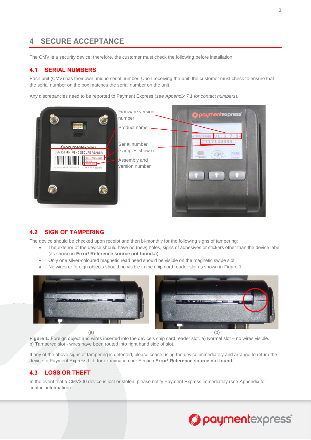# <span id="page-10-0"></span>**4 SECURE ACCEPTANCE**

The CMV is a security device; therefore, the customer must check the following before installation.

#### <span id="page-10-1"></span>**4.1 SERIAL NUMBERS**

Each unit (CMV) has their own unique serial number. Upon receiving the unit, the customer must check to ensure that the serial number on the box matches the serial number on the unit.

Any discrepancies need to be reported to Payment Express (*see Appendix [7.1](#page-13-1) for contact numbers*).



#### <span id="page-10-2"></span>**4.2 SIGN OF TAMPERING**

The device should be checked upon receipt and then bi-monthly for the following signs of tampering:

- The exterior of the device should have no (new) holes, signs of adhesives or stickers other than the device label (as shown in **Error! Reference source not found.**a)
- Only one silver-coloured magnetic read head should be visible on the magnetic swipe slot
- No wires or foreign objects should be visible in the chip card reader slot as shown in [Figure 1.](#page-10-3)



<span id="page-10-3"></span>**Figure 1:** Foreign object and wires inserted into the device's chip card reader slot. a) Normal slot – no wires visible. b) Tampered slot - wires have been routed into right hand side of slot.

If any of the above signs of tampering is detected, please cease using the device immediately and arrange to return the device to Payment Express Ltd. for examination per Section **Error! Reference source not found.**.

#### **4.3 LOSS OR THEFT**

In the event that a CMV300 device is lost or stolen, please notify Payment Express immediately (see [Appendix](#page-13-0) for contact information).

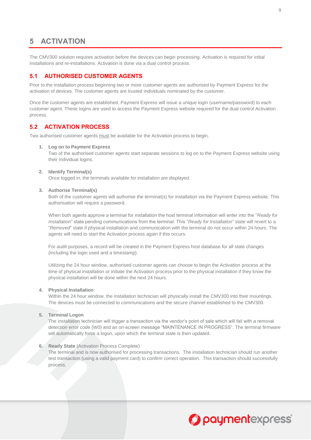# <span id="page-11-0"></span>**5 ACTIVATION**

The CMV300 solution requires activation before the devices can begin processing. Activation is required for initial installations and re-installations. Activation is done via a dual control process.

#### <span id="page-11-1"></span>**5.1 AUTHORISED CUSTOMER AGENTS**

Prior to the installation process beginning two or more customer agents are authorised by Payment Express for the activation of devices. The customer agents are trusted individuals nominated by the customer.

Once the customer agents are established, Payment Express will issue a unique login (username/password) to each customer agent. These logins are used to access the Payment Express website required for the dual control Activation process.

#### <span id="page-11-2"></span>**5.2 ACTIVATION PROCESS**

Two authorised customer agents must be available for the Activation process to begin.

#### **1. Log on to Payment Express**

Two of the authorised customer agents start separate sessions to log on to the Payment Express website using their individual logins.

#### **2. Identify Terminal(s)**

Once logged in, the terminals available for installation are displayed.

#### **3. Authorise Terminal(s)**

Both of the customer agents will authorise the terminal(s) for installation via the Payment Express website. This authorisation will require a password.

When both agents approve a terminal for installation the host terminal information will enter into the "*Ready for Installation*" state pending communications from the terminal. This "*Ready for Installation*" state will revert to a "*Removed*" state if physical installation and communication with the terminal do not occur within 24 hours. The agents will need to start the Activation process again if this occurs.

For audit purposes, a record will be created in the Payment Express host database for all state changes (including the login used and a timestamp).

Utilizing the 24 hour window, authorised customer agents can choose to begin the Activation process at the time of physical installation or initiate the Activation process prior to the physical installation if they know the physical installation will be done within the next 24 hours.

#### **4. Physical Installation**

Within the 24 hour window, the installation technician will physically install the CMV300 into their mountings. The devices must be connected to communications and the secure channel established to the CMV300.

#### **5. Terminal Logon**

The installation technician will trigger a transaction via the vendor's point of sale which will fail with a removal detection error code (W0) and an on-screen message "MAINTENANCE IN PROGRESS". The terminal firmware will automatically force a logon, upon which the terminal state is then updated.

#### **6. Ready State** (Activation Process Complete)

The terminal and is now authorised for processing transactions. The installation technician should run another test transaction (using a valid payment card) to confirm correct operation. This transaction should successfully process.

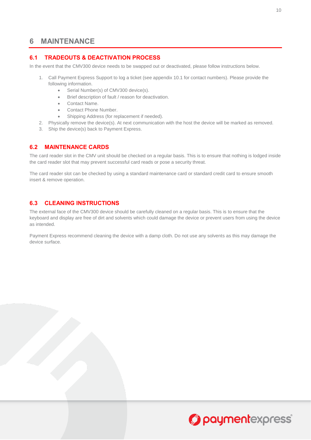### <span id="page-12-0"></span>**6 MAINTENANCE**

#### <span id="page-12-1"></span>**6.1 TRADEOUTS & DEACTIVATION PROCESS**

In the event that the CMV300 device needs to be swapped out or deactivated, please follow instructions below.

- 1. Call Payment Express Support to log a ticket (see appendix 10.1 for contact numbers). Please provide the following information.
	- Serial Number(s) of CMV300 device(s).
	- Brief description of fault / reason for deactivation.
	- Contact Name.
	- Contact Phone Number.
	- Shipping Address (for replacement if needed).
- 2. Physically remove the device(s). At next communication with the host the device will be marked as removed.
- 3. Ship the device(s) back to Payment Express.

#### <span id="page-12-2"></span>**6.2 MAINTENANCE CARDS**

The card reader slot in the CMV unit should be checked on a regular basis. This is to ensure that nothing is lodged inside the card reader slot that may prevent successful card reads or pose a security threat.

The card reader slot can be checked by using a standard maintenance card or standard credit card to ensure smooth insert & remove operation.

#### <span id="page-12-3"></span>**6.3 CLEANING INSTRUCTIONS**

The external face of the CMV300 device should be carefully cleaned on a regular basis. This is to ensure that the keyboard and display are free of dirt and solvents which could damage the device or prevent users from using the device as intended.

Payment Express recommend cleaning the device with a damp cloth. Do not use any solvents as this may damage the device surface.